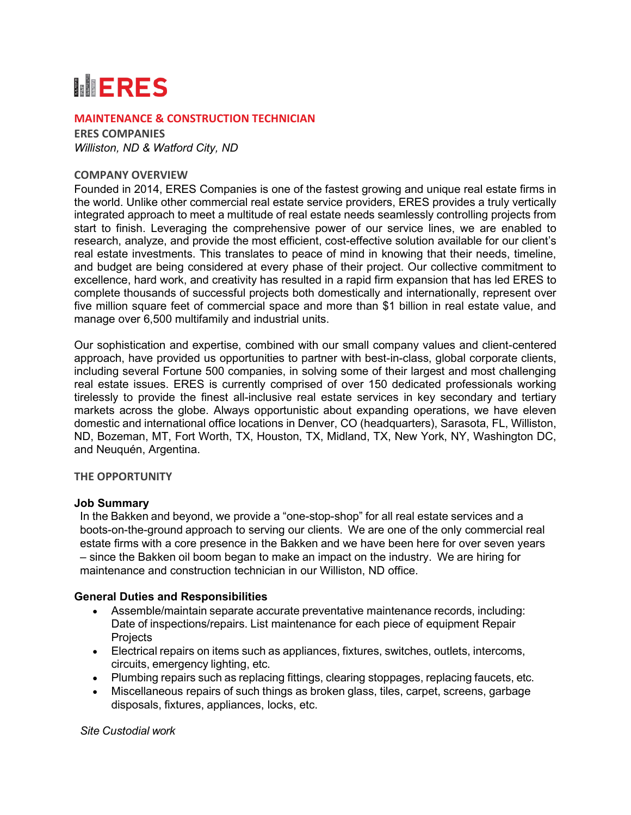# **MERES**

## **MAINTENANCE & CONSTRUCTION TECHNICIAN**

**ERES COMPANIES** *Williston, ND & Watford City, ND*

## **COMPANY OVERVIEW**

Founded in 2014, ERES Companies is one of the fastest growing and unique real estate firms in the world. Unlike other commercial real estate service providers, ERES provides a truly vertically integrated approach to meet a multitude of real estate needs seamlessly controlling projects from start to finish. Leveraging the comprehensive power of our service lines, we are enabled to research, analyze, and provide the most efficient, cost-effective solution available for our client's real estate investments. This translates to peace of mind in knowing that their needs, timeline, and budget are being considered at every phase of their project. Our collective commitment to excellence, hard work, and creativity has resulted in a rapid firm expansion that has led ERES to complete thousands of successful projects both domestically and internationally, represent over five million square feet of commercial space and more than \$1 billion in real estate value, and manage over 6,500 multifamily and industrial units.

Our sophistication and expertise, combined with our small company values and client-centered approach, have provided us opportunities to partner with best-in-class, global corporate clients, including several Fortune 500 companies, in solving some of their largest and most challenging real estate issues. ERES is currently comprised of over 150 dedicated professionals working tirelessly to provide the finest all-inclusive real estate services in key secondary and tertiary markets across the globe. Always opportunistic about expanding operations, we have eleven domestic and international office locations in Denver, CO (headquarters), Sarasota, FL, Williston, ND, Bozeman, MT, Fort Worth, TX, Houston, TX, Midland, TX, New York, NY, Washington DC, and Neuquén, Argentina.

## **THE OPPORTUNITY**

## **Job Summary**

In the Bakken and beyond, we provide a "one-stop-shop" for all real estate services and a boots-on-the-ground approach to serving our clients. We are one of the only commercial real estate firms with a core presence in the Bakken and we have been here for over seven years – since the Bakken oil boom began to make an impact on the industry. We are hiring for maintenance and construction technician in our Williston, ND office.

## **General Duties and Responsibilities**

- Assemble/maintain separate accurate preventative maintenance records, including: Date of inspections/repairs. List maintenance for each piece of equipment Repair **Projects**
- Electrical repairs on items such as appliances, fixtures, switches, outlets, intercoms, circuits, emergency lighting, etc.
- Plumbing repairs such as replacing fittings, clearing stoppages, replacing faucets, etc.
- Miscellaneous repairs of such things as broken glass, tiles, carpet, screens, garbage disposals, fixtures, appliances, locks, etc.

*Site Custodial work*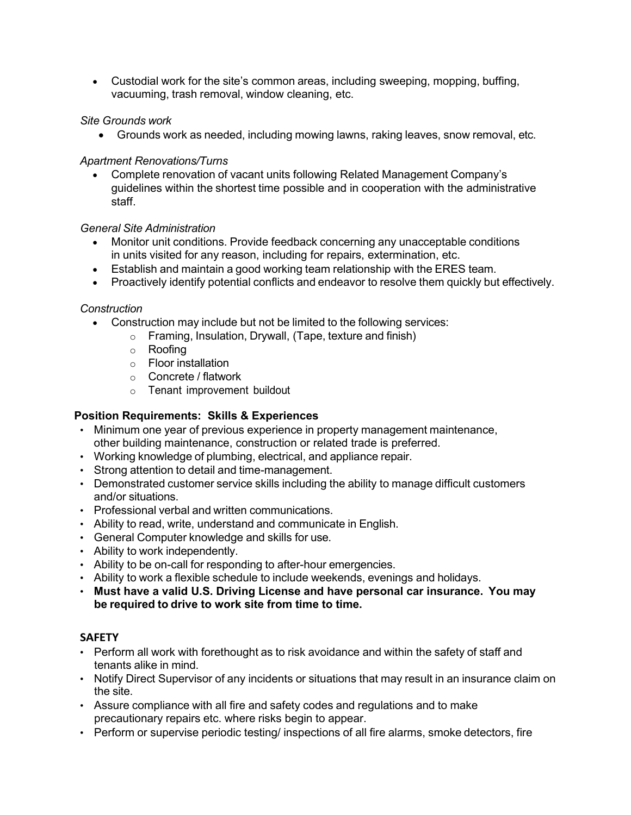• Custodial work for the site's common areas, including sweeping, mopping, buffing, vacuuming, trash removal, window cleaning, etc.

## *Site Grounds work*

• Grounds work as needed, including mowing lawns, raking leaves, snow removal, etc.

## *Apartment Renovations/Turns*

• Complete renovation of vacant units following Related Management Company's guidelines within the shortest time possible and in cooperation with the administrative staff.

## *General Site Administration*

- Monitor unit conditions. Provide feedback concerning any unacceptable conditions in units visited for any reason, including for repairs, extermination, etc.
- Establish and maintain a good working team relationship with the ERES team.
- Proactively identify potential conflicts and endeavor to resolve them quickly but effectively.

## *Construction*

- Construction may include but not be limited to the following services:
	- o Framing, Insulation, Drywall, (Tape, texture and finish)
	- o Roofing
	- o Floor installation
	- o Concrete / flatwork
	- o Tenant improvement buildout

# **Position Requirements: Skills & Experiences**

- Minimum one year of previous experience in property management maintenance, other building maintenance, construction or related trade is preferred.
- Working knowledge of plumbing, electrical, and appliance repair.
- Strong attention to detail and time-management.
- Demonstrated customer service skills including the ability to manage difficult customers and/or situations.
- Professional verbal and written communications.
- Ability to read, write, understand and communicate in English.
- General Computer knowledge and skills for use.
- Ability to work independently.
- Ability to be on-call for responding to after-hour emergencies.
- Ability to work a flexible schedule to include weekends, evenings and holidays.
- **Must have a valid U.S. Driving License and have personal car insurance. You may be required to drive to work site from time to time.**

# **SAFETY**

- Perform all work with forethought as to risk avoidance and within the safety of staff and tenants alike in mind.
- Notify Direct Supervisor of any incidents or situations that may result in an insurance claim on the site.
- Assure compliance with all fire and safety codes and regulations and to make precautionary repairs etc. where risks begin to appear.
- Perform or supervise periodic testing/ inspections of all fire alarms, smoke detectors, fire